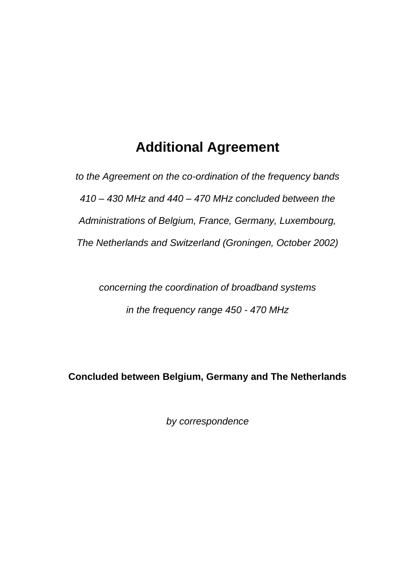# **Additional Agreement**

*to the Agreement on the co-ordination of the frequency bands 410 – 430 MHz and 440 – 470 MHz concluded between the Administrations of Belgium, France, Germany, Luxembourg, The Netherlands and Switzerland (Groningen, October 2002)*

*concerning the coordination of broadband systems in the frequency range 450 - 470 MHz*

**Concluded between Belgium, Germany and The Netherlands**

*by correspondence*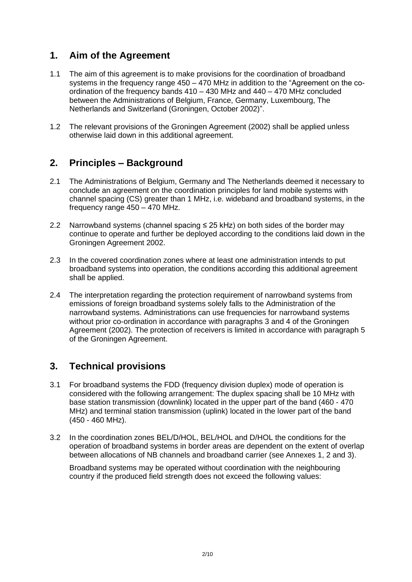## **1. Aim of the Agreement**

- 1.1 The aim of this agreement is to make provisions for the coordination of broadband systems in the frequency range  $450 - 470$  MHz in addition to the "Agreement on the coordination of the frequency bands 410 – 430 MHz and 440 – 470 MHz concluded between the Administrations of Belgium, France, Germany, Luxembourg, The Netherlands and Switzerland (Groningen, October 2002)".
- 1.2 The relevant provisions of the Groningen Agreement (2002) shall be applied unless otherwise laid down in this additional agreement.

### **2. Principles – Background**

- 2.1 The Administrations of Belgium, Germany and The Netherlands deemed it necessary to conclude an agreement on the coordination principles for land mobile systems with channel spacing (CS) greater than 1 MHz, i.e. wideband and broadband systems, in the frequency range 450 – 470 MHz.
- 2.2 Narrowband systems (channel spacing ≤ 25 kHz) on both sides of the border may continue to operate and further be deployed according to the conditions laid down in the Groningen Agreement 2002.
- 2.3 In the covered coordination zones where at least one administration intends to put broadband systems into operation, the conditions according this additional agreement shall be applied.
- 2.4 The interpretation regarding the protection requirement of narrowband systems from emissions of foreign broadband systems solely falls to the Administration of the narrowband systems. Administrations can use frequencies for narrowband systems without prior co-ordination in accordance with paragraphs 3 and 4 of the Groningen Agreement (2002). The protection of receivers is limited in accordance with paragraph 5 of the Groningen Agreement.

### **3. Technical provisions**

- 3.1 For broadband systems the FDD (frequency division duplex) mode of operation is considered with the following arrangement: The duplex spacing shall be 10 MHz with base station transmission (downlink) located in the upper part of the band (460 - 470 MHz) and terminal station transmission (uplink) located in the lower part of the band (450 - 460 MHz).
- 3.2 In the coordination zones BEL/D/HOL, BEL/HOL and D/HOL the conditions for the operation of broadband systems in border areas are dependent on the extent of overlap between allocations of NB channels and broadband carrier (see Annexes 1, 2 and 3).

Broadband systems may be operated without coordination with the neighbouring country if the produced field strength does not exceed the following values: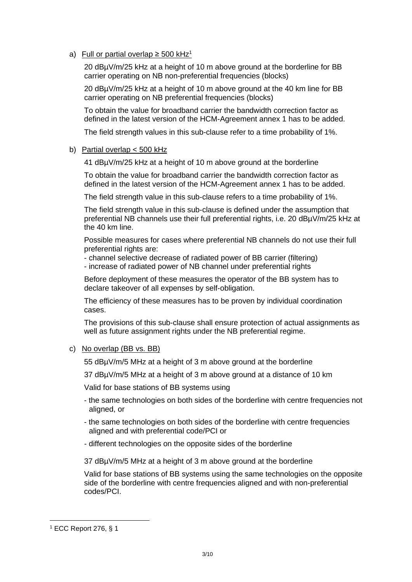a) Full or partial overlap  $\geq$  500 kHz<sup>1</sup>

20 dBµV/m/25 kHz at a height of 10 m above ground at the borderline for BB carrier operating on NB non-preferential frequencies (blocks)

20 dBµV/m/25 kHz at a height of 10 m above ground at the 40 km line for BB carrier operating on NB preferential frequencies (blocks)

To obtain the value for broadband carrier the bandwidth correction factor as defined in the latest version of the HCM-Agreement annex 1 has to be added.

The field strength values in this sub-clause refer to a time probability of 1%.

b) Partial overlap < 500 kHz

41 dBµV/m/25 kHz at a height of 10 m above ground at the borderline

To obtain the value for broadband carrier the bandwidth correction factor as defined in the latest version of the HCM-Agreement annex 1 has to be added.

The field strength value in this sub-clause refers to a time probability of 1%.

The field strength value in this sub-clause is defined under the assumption that preferential NB channels use their full preferential rights, i.e. 20 dBµV/m/25 kHz at the 40 km line.

Possible measures for cases where preferential NB channels do not use their full preferential rights are:

- channel selective decrease of radiated power of BB carrier (filtering)

- increase of radiated power of NB channel under preferential rights

Before deployment of these measures the operator of the BB system has to declare takeover of all expenses by self-obligation.

The efficiency of these measures has to be proven by individual coordination cases.

The provisions of this sub-clause shall ensure protection of actual assignments as well as future assignment rights under the NB preferential regime.

c) No overlap (BB vs. BB)

55 dBµV/m/5 MHz at a height of 3 m above ground at the borderline

37 dBµV/m/5 MHz at a height of 3 m above ground at a distance of 10 km

Valid for base stations of BB systems using

- the same technologies on both sides of the borderline with centre frequencies not aligned, or
- the same technologies on both sides of the borderline with centre frequencies aligned and with preferential code/PCI or
- different technologies on the opposite sides of the borderline

37 dBµV/m/5 MHz at a height of 3 m above ground at the borderline

Valid for base stations of BB systems using the same technologies on the opposite side of the borderline with centre frequencies aligned and with non-preferential codes/PCI.

<sup>1</sup> ECC Report 276, § 1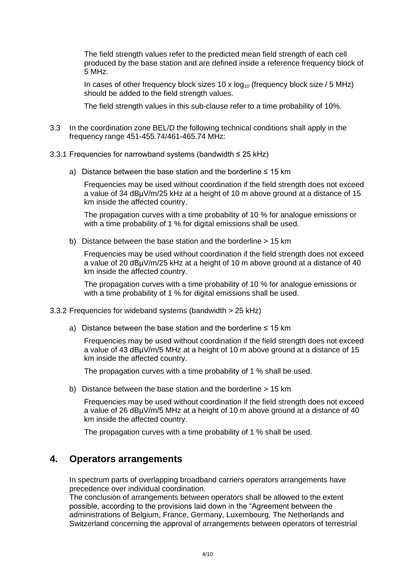The field strength values refer to the predicted mean field strength of each cell produced by the base station and are defined inside a reference frequency block of 5 MHz.

In cases of other frequency block sizes 10 x  $log_{10}$  (frequency block size / 5 MHz) should be added to the field strength values.

The field strength values in this sub-clause refer to a time probability of 10%.

- 3.3 In the coordination zone BEL/D the following technical conditions shall apply in the frequency range 451-455.74/461-465.74 MHz:
- 3.3.1 Frequencies for narrowband systems (bandwidth ≤ 25 kHz)
	- a) Distance between the base station and the borderline  $\leq 15$  km

Frequencies may be used without coordination if the field strength does not exceed a value of 34 dBµV/m/25 kHz at a height of 10 m above ground at a distance of 15 km inside the affected country.

The propagation curves with a time probability of 10 % for analogue emissions or with a time probability of 1 % for digital emissions shall be used.

b) Distance between the base station and the borderline > 15 km

Frequencies may be used without coordination if the field strength does not exceed a value of 20 dBµV/m/25 kHz at a height of 10 m above ground at a distance of 40 km inside the affected country.

The propagation curves with a time probability of 10 % for analogue emissions or with a time probability of 1 % for digital emissions shall be used.

3.3.2 Frequencies for wideband systems (bandwidth > 25 kHz)

a) Distance between the base station and the borderline  $\leq 15$  km

Frequencies may be used without coordination if the field strength does not exceed a value of 43 dBµV/m/5 MHz at a height of 10 m above ground at a distance of 15 km inside the affected country.

The propagation curves with a time probability of 1 % shall be used.

b) Distance between the base station and the borderline > 15 km

Frequencies may be used without coordination if the field strength does not exceed a value of 26 dBµV/m/5 MHz at a height of 10 m above ground at a distance of 40 km inside the affected country.

The propagation curves with a time probability of 1 % shall be used.

#### **4. Operators arrangements**

In spectrum parts of overlapping broadband carriers operators arrangements have precedence over individual coordination.

The conclusion of arrangements between operators shall be allowed to the extent possible, according to the provisions laid down in the "Agreement between the administrations of Belgium, France, Germany, Luxembourg, The Netherlands and Switzerland concerning the approval of arrangements between operators of terrestrial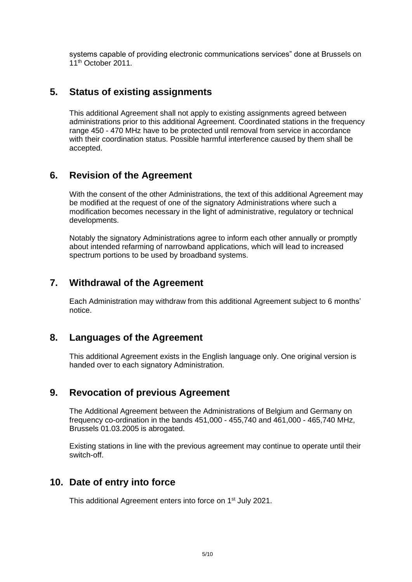systems capable of providing electronic communications services" done at Brussels on 11<sup>th</sup> October 2011.

#### **5. Status of existing assignments**

This additional Agreement shall not apply to existing assignments agreed between administrations prior to this additional Agreement. Coordinated stations in the frequency range 450 - 470 MHz have to be protected until removal from service in accordance with their coordination status. Possible harmful interference caused by them shall be accepted.

#### **6. Revision of the Agreement**

With the consent of the other Administrations, the text of this additional Agreement may be modified at the request of one of the signatory Administrations where such a modification becomes necessary in the light of administrative, regulatory or technical developments.

Notably the signatory Administrations agree to inform each other annually or promptly about intended refarming of narrowband applications, which will lead to increased spectrum portions to be used by broadband systems.

#### **7. Withdrawal of the Agreement**

Each Administration may withdraw from this additional Agreement subject to 6 months' notice.

#### **8. Languages of the Agreement**

This additional Agreement exists in the English language only. One original version is handed over to each signatory Administration.

#### **9. Revocation of previous Agreement**

The Additional Agreement between the Administrations of Belgium and Germany on frequency co-ordination in the bands 451,000 - 455,740 and 461,000 - 465,740 MHz, Brussels 01.03.2005 is abrogated.

Existing stations in line with the previous agreement may continue to operate until their switch-off.

#### **10. Date of entry into force**

This additional Agreement enters into force on 1<sup>st</sup> July 2021.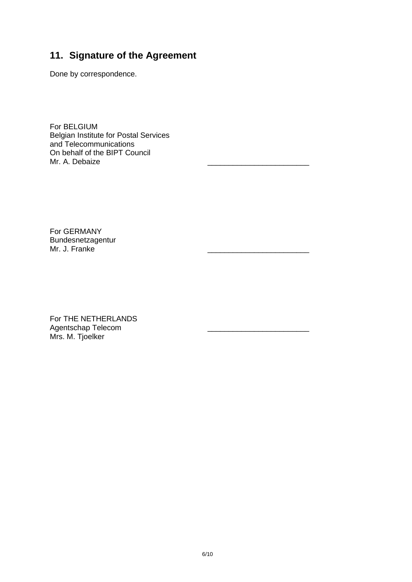# **11. Signature of the Agreement**

Done by correspondence.

For BELGIUM Belgian Institute for Postal Services and Telecommunications On behalf of the BIPT Council Mr. A. Debaize

For GERMANY Bundesnetzagentur Mr. J. Franke

For THE NETHERLANDS Agentschap Telecom \_\_\_\_\_\_\_\_\_\_\_\_\_\_\_\_\_\_\_\_\_\_\_\_ Mrs. M. Tjoelker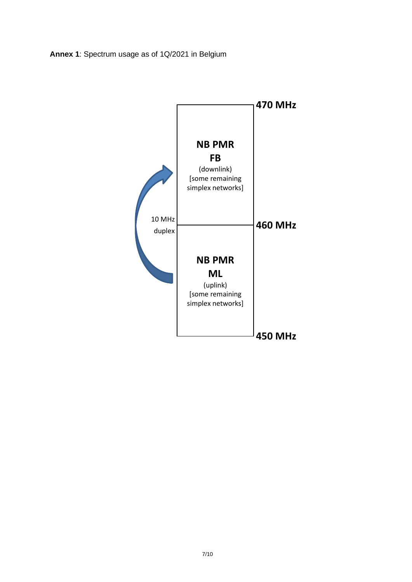**Annex 1**: Spectrum usage as of 1Q/2021 in Belgium

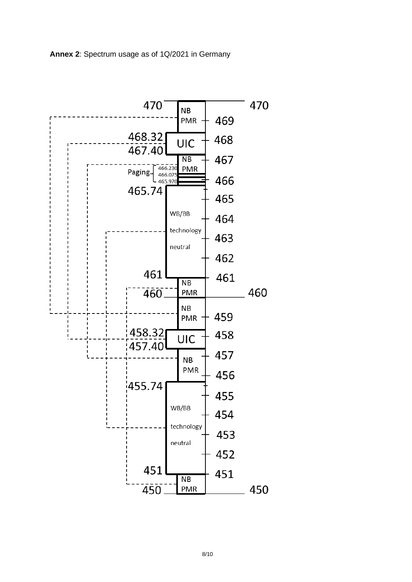

#### **Annex 2**: Spectrum usage as of 1Q/2021 in Germany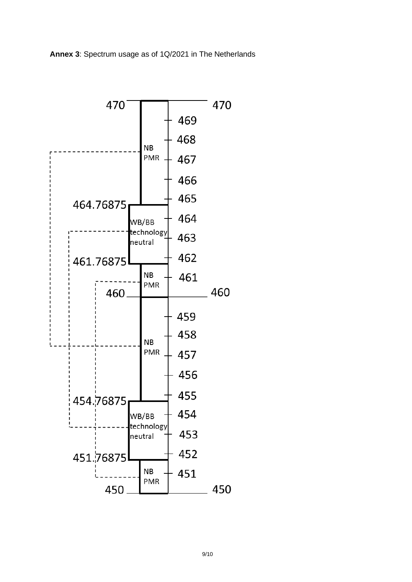